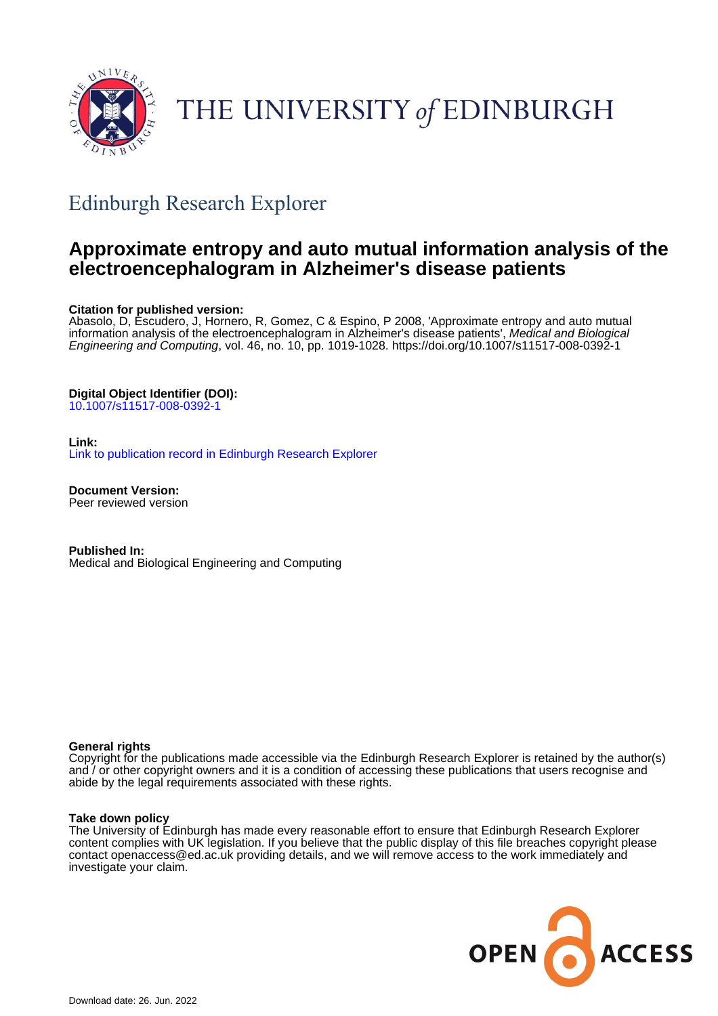

# THE UNIVERSITY of EDINBURGH

# Edinburgh Research Explorer

# **Approximate entropy and auto mutual information analysis of the electroencephalogram in Alzheimer's disease patients**

#### **Citation for published version:**

Abasolo, D, Escudero, J, Hornero, R, Gomez, C & Espino, P 2008, 'Approximate entropy and auto mutual information analysis of the electroencephalogram in Alzheimer's disease patients', Medical and Biological Engineering and Computing, vol. 46, no. 10, pp. 1019-1028. <https://doi.org/10.1007/s11517-008-0392-1>

#### **Digital Object Identifier (DOI):**

[10.1007/s11517-008-0392-1](https://doi.org/10.1007/s11517-008-0392-1)

#### **Link:**

[Link to publication record in Edinburgh Research Explorer](https://www.research.ed.ac.uk/en/publications/65ada53b-bcf9-418a-b076-8b04ba735d20)

**Document Version:** Peer reviewed version

**Published In:** Medical and Biological Engineering and Computing

#### **General rights**

Copyright for the publications made accessible via the Edinburgh Research Explorer is retained by the author(s) and / or other copyright owners and it is a condition of accessing these publications that users recognise and abide by the legal requirements associated with these rights.

#### **Take down policy**

The University of Edinburgh has made every reasonable effort to ensure that Edinburgh Research Explorer content complies with UK legislation. If you believe that the public display of this file breaches copyright please contact openaccess@ed.ac.uk providing details, and we will remove access to the work immediately and investigate your claim.

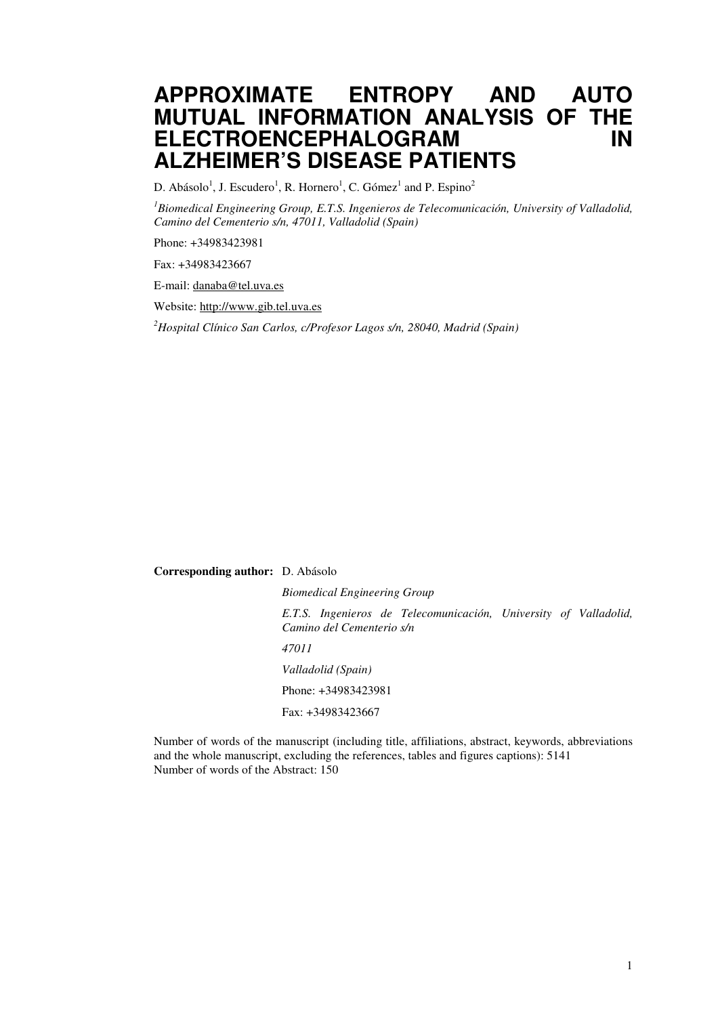# **APPROXIMATE ENTROPY AND AUTO MUTUAL INFORMATION ANALYSIS OF THE ELECTROENCEPHALOGRAM IN ALZHEIMER'S DISEASE PATIENTS**

D. Abásolo<sup>1</sup>, J. Escudero<sup>1</sup>, R. Hornero<sup>1</sup>, C. Gómez<sup>1</sup> and P. Espino<sup>2</sup>

*<sup>1</sup>Biomedical Engineering Group, E.T.S. Ingenieros de Telecomunicación, University of Valladolid, Camino del Cementerio s/n, 47011, Valladolid (Spain)* 

Phone: +34983423981

Fax: +34983423667

E-mail: danaba@tel.uva.es

Website: http://www.gib.tel.uva.es

*<sup>2</sup>Hospital Clínico San Carlos, c/Profesor Lagos s/n, 28040, Madrid (Spain)*

**Corresponding author:** D. Abásolo

*Biomedical Engineering Group E.T.S. Ingenieros de Telecomunicación, University of Valladolid, Camino del Cementerio s/n 47011 Valladolid (Spain)*  Phone: +34983423981 Fax: +34983423667

Number of words of the manuscript (including title, affiliations, abstract, keywords, abbreviations and the whole manuscript, excluding the references, tables and figures captions): 5141 Number of words of the Abstract: 150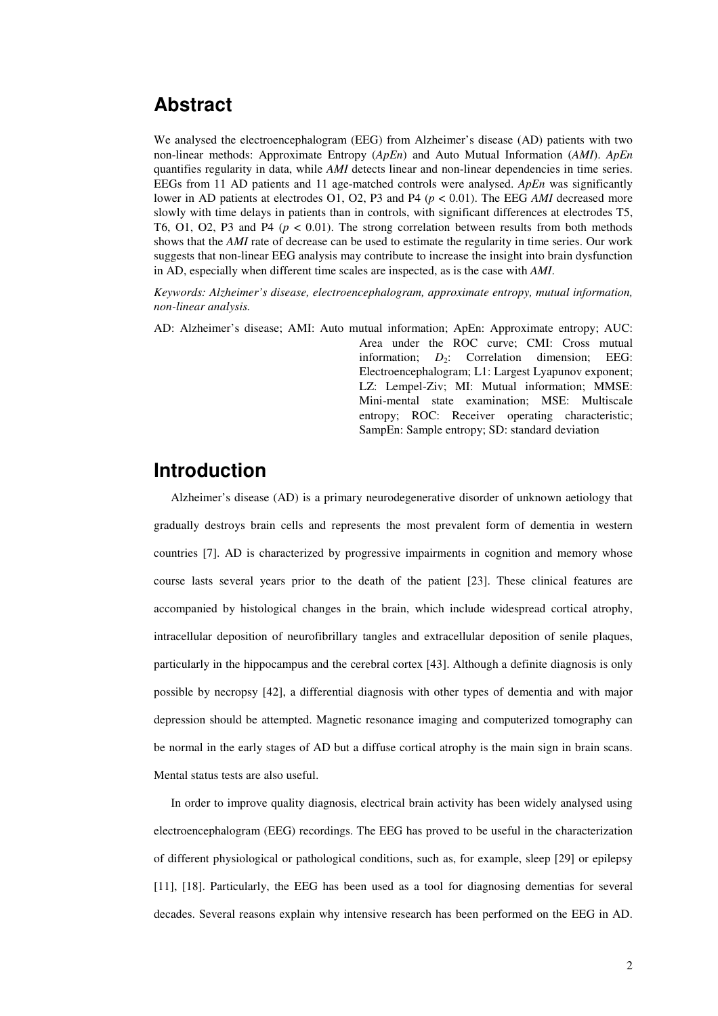# **Abstract**

We analysed the electroencephalogram (EEG) from Alzheimer's disease (AD) patients with two non-linear methods: Approximate Entropy (*ApEn*) and Auto Mutual Information (*AMI*). *ApEn* quantifies regularity in data, while *AMI* detects linear and non-linear dependencies in time series. EEGs from 11 AD patients and 11 age-matched controls were analysed. *ApEn* was significantly lower in AD patients at electrodes O1, O2, P3 and P4 (*p* < 0.01). The EEG *AMI* decreased more slowly with time delays in patients than in controls, with significant differences at electrodes T5, T6, O1, O2, P3 and P4 (*p* < 0.01). The strong correlation between results from both methods shows that the *AMI* rate of decrease can be used to estimate the regularity in time series. Our work suggests that non-linear EEG analysis may contribute to increase the insight into brain dysfunction in AD, especially when different time scales are inspected, as is the case with *AMI*.

*Keywords: Alzheimer's disease, electroencephalogram, approximate entropy, mutual information, non-linear analysis.* 

AD: Alzheimer's disease; AMI: Auto mutual information; ApEn: Approximate entropy; AUC: Area under the ROC curve; CMI: Cross mutual information; *D*<sub>2</sub>: Correlation dimension; EEG: Electroencephalogram; L1: Largest Lyapunov exponent; LZ: Lempel-Ziv; MI: Mutual information; MMSE: Mini-mental state examination; MSE: Multiscale entropy; ROC: Receiver operating characteristic; SampEn: Sample entropy; SD: standard deviation

# **Introduction**

Alzheimer's disease (AD) is a primary neurodegenerative disorder of unknown aetiology that gradually destroys brain cells and represents the most prevalent form of dementia in western countries [7]. AD is characterized by progressive impairments in cognition and memory whose course lasts several years prior to the death of the patient [23]. These clinical features are accompanied by histological changes in the brain, which include widespread cortical atrophy, intracellular deposition of neurofibrillary tangles and extracellular deposition of senile plaques, particularly in the hippocampus and the cerebral cortex [43]. Although a definite diagnosis is only possible by necropsy [42], a differential diagnosis with other types of dementia and with major depression should be attempted. Magnetic resonance imaging and computerized tomography can be normal in the early stages of AD but a diffuse cortical atrophy is the main sign in brain scans. Mental status tests are also useful.

In order to improve quality diagnosis, electrical brain activity has been widely analysed using electroencephalogram (EEG) recordings. The EEG has proved to be useful in the characterization of different physiological or pathological conditions, such as, for example, sleep [29] or epilepsy [11], [18]. Particularly, the EEG has been used as a tool for diagnosing dementias for several decades. Several reasons explain why intensive research has been performed on the EEG in AD.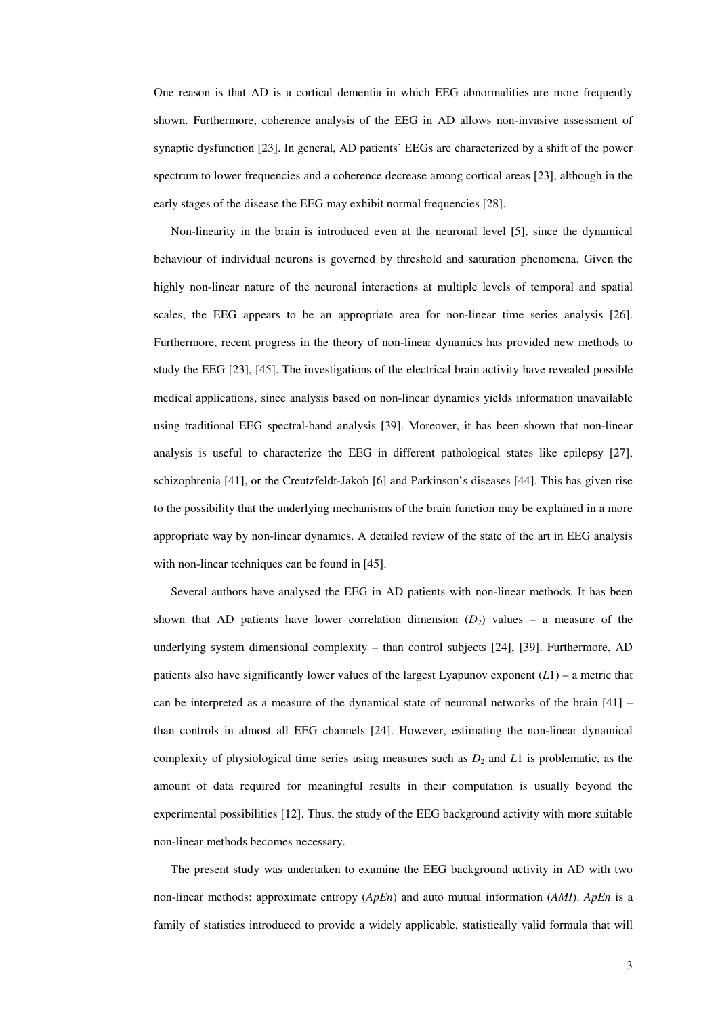One reason is that AD is a cortical dementia in which EEG abnormalities are more frequently shown. Furthermore, coherence analysis of the EEG in AD allows non-invasive assessment of synaptic dysfunction [23]. In general, AD patients' EEGs are characterized by a shift of the power spectrum to lower frequencies and a coherence decrease among cortical areas [23], although in the early stages of the disease the EEG may exhibit normal frequencies [28].

Non-linearity in the brain is introduced even at the neuronal level [5], since the dynamical behaviour of individual neurons is governed by threshold and saturation phenomena. Given the highly non-linear nature of the neuronal interactions at multiple levels of temporal and spatial scales, the EEG appears to be an appropriate area for non-linear time series analysis [26]. Furthermore, recent progress in the theory of non-linear dynamics has provided new methods to study the EEG [23], [45]. The investigations of the electrical brain activity have revealed possible medical applications, since analysis based on non-linear dynamics yields information unavailable using traditional EEG spectral-band analysis [39]. Moreover, it has been shown that non-linear analysis is useful to characterize the EEG in different pathological states like epilepsy [27], schizophrenia [41], or the Creutzfeldt-Jakob [6] and Parkinson's diseases [44]. This has given rise to the possibility that the underlying mechanisms of the brain function may be explained in a more appropriate way by non-linear dynamics. A detailed review of the state of the art in EEG analysis with non-linear techniques can be found in [45].

Several authors have analysed the EEG in AD patients with non-linear methods. It has been shown that AD patients have lower correlation dimension  $(D_2)$  values – a measure of the underlying system dimensional complexity – than control subjects [24], [39]. Furthermore, AD patients also have significantly lower values of the largest Lyapunov exponent (*L*1) – a metric that can be interpreted as a measure of the dynamical state of neuronal networks of the brain [41] – than controls in almost all EEG channels [24]. However, estimating the non-linear dynamical complexity of physiological time series using measures such as  $D_2$  and *L*1 is problematic, as the amount of data required for meaningful results in their computation is usually beyond the experimental possibilities [12]. Thus, the study of the EEG background activity with more suitable non-linear methods becomes necessary.

The present study was undertaken to examine the EEG background activity in AD with two non-linear methods: approximate entropy (*ApEn*) and auto mutual information (*AMI*). *ApEn* is a family of statistics introduced to provide a widely applicable, statistically valid formula that will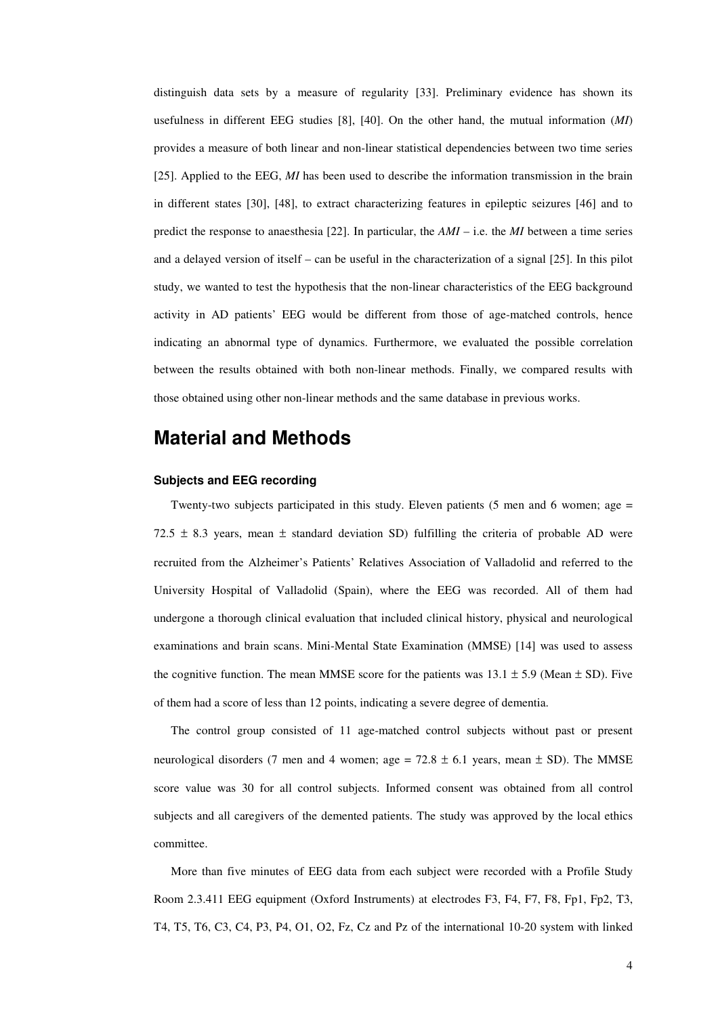distinguish data sets by a measure of regularity [33]. Preliminary evidence has shown its usefulness in different EEG studies [8], [40]. On the other hand, the mutual information (*MI*) provides a measure of both linear and non-linear statistical dependencies between two time series [25]. Applied to the EEG, *MI* has been used to describe the information transmission in the brain in different states [30], [48], to extract characterizing features in epileptic seizures [46] and to predict the response to anaesthesia [22]. In particular, the *AMI* – i.e. the *MI* between a time series and a delayed version of itself – can be useful in the characterization of a signal [25]. In this pilot study, we wanted to test the hypothesis that the non-linear characteristics of the EEG background activity in AD patients' EEG would be different from those of age-matched controls, hence indicating an abnormal type of dynamics. Furthermore, we evaluated the possible correlation between the results obtained with both non-linear methods. Finally, we compared results with those obtained using other non-linear methods and the same database in previous works.

## **Material and Methods**

#### **Subjects and EEG recording**

Twenty-two subjects participated in this study. Eleven patients (5 men and 6 women; age = 72.5  $\pm$  8.3 years, mean  $\pm$  standard deviation SD) fulfilling the criteria of probable AD were recruited from the Alzheimer's Patients' Relatives Association of Valladolid and referred to the University Hospital of Valladolid (Spain), where the EEG was recorded. All of them had undergone a thorough clinical evaluation that included clinical history, physical and neurological examinations and brain scans. Mini-Mental State Examination (MMSE) [14] was used to assess the cognitive function. The mean MMSE score for the patients was  $13.1 \pm 5.9$  (Mean  $\pm$  SD). Five of them had a score of less than 12 points, indicating a severe degree of dementia.

The control group consisted of 11 age-matched control subjects without past or present neurological disorders (7 men and 4 women; age =  $72.8 \pm 6.1$  years, mean  $\pm$  SD). The MMSE score value was 30 for all control subjects. Informed consent was obtained from all control subjects and all caregivers of the demented patients. The study was approved by the local ethics committee.

More than five minutes of EEG data from each subject were recorded with a Profile Study Room 2.3.411 EEG equipment (Oxford Instruments) at electrodes F3, F4, F7, F8, Fp1, Fp2, T3, T4, T5, T6, C3, C4, P3, P4, O1, O2, Fz, Cz and Pz of the international 10-20 system with linked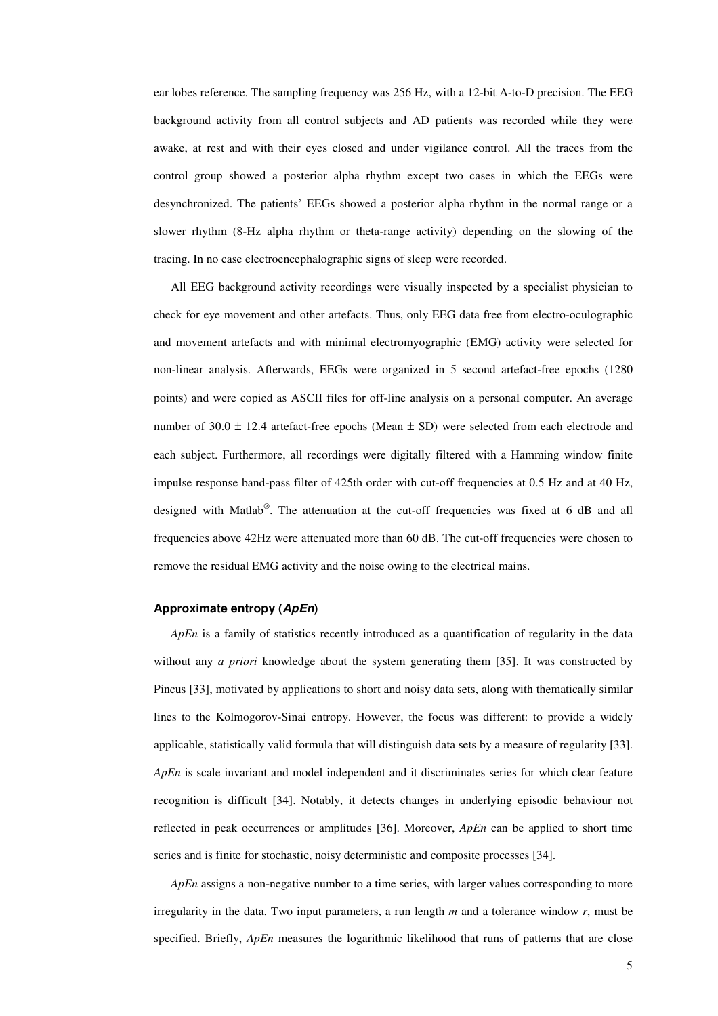ear lobes reference. The sampling frequency was 256 Hz, with a 12-bit A-to-D precision. The EEG background activity from all control subjects and AD patients was recorded while they were awake, at rest and with their eyes closed and under vigilance control. All the traces from the control group showed a posterior alpha rhythm except two cases in which the EEGs were desynchronized. The patients' EEGs showed a posterior alpha rhythm in the normal range or a slower rhythm (8-Hz alpha rhythm or theta-range activity) depending on the slowing of the tracing. In no case electroencephalographic signs of sleep were recorded.

All EEG background activity recordings were visually inspected by a specialist physician to check for eye movement and other artefacts. Thus, only EEG data free from electro-oculographic and movement artefacts and with minimal electromyographic (EMG) activity were selected for non-linear analysis. Afterwards, EEGs were organized in 5 second artefact-free epochs (1280 points) and were copied as ASCII files for off-line analysis on a personal computer. An average number of  $30.0 \pm 12.4$  artefact-free epochs (Mean  $\pm$  SD) were selected from each electrode and each subject. Furthermore, all recordings were digitally filtered with a Hamming window finite impulse response band-pass filter of 425th order with cut-off frequencies at 0.5 Hz and at 40 Hz, designed with Matlab®. The attenuation at the cut-off frequencies was fixed at 6 dB and all frequencies above 42Hz were attenuated more than 60 dB. The cut-off frequencies were chosen to remove the residual EMG activity and the noise owing to the electrical mains.

#### **Approximate entropy (ApEn)**

*ApEn* is a family of statistics recently introduced as a quantification of regularity in the data without any *a priori* knowledge about the system generating them [35]. It was constructed by Pincus [33], motivated by applications to short and noisy data sets, along with thematically similar lines to the Kolmogorov-Sinai entropy. However, the focus was different: to provide a widely applicable, statistically valid formula that will distinguish data sets by a measure of regularity [33]. *ApEn* is scale invariant and model independent and it discriminates series for which clear feature recognition is difficult [34]. Notably, it detects changes in underlying episodic behaviour not reflected in peak occurrences or amplitudes [36]. Moreover, *ApEn* can be applied to short time series and is finite for stochastic, noisy deterministic and composite processes [34].

*ApEn* assigns a non-negative number to a time series, with larger values corresponding to more irregularity in the data. Two input parameters, a run length *m* and a tolerance window *r*, must be specified. Briefly, *ApEn* measures the logarithmic likelihood that runs of patterns that are close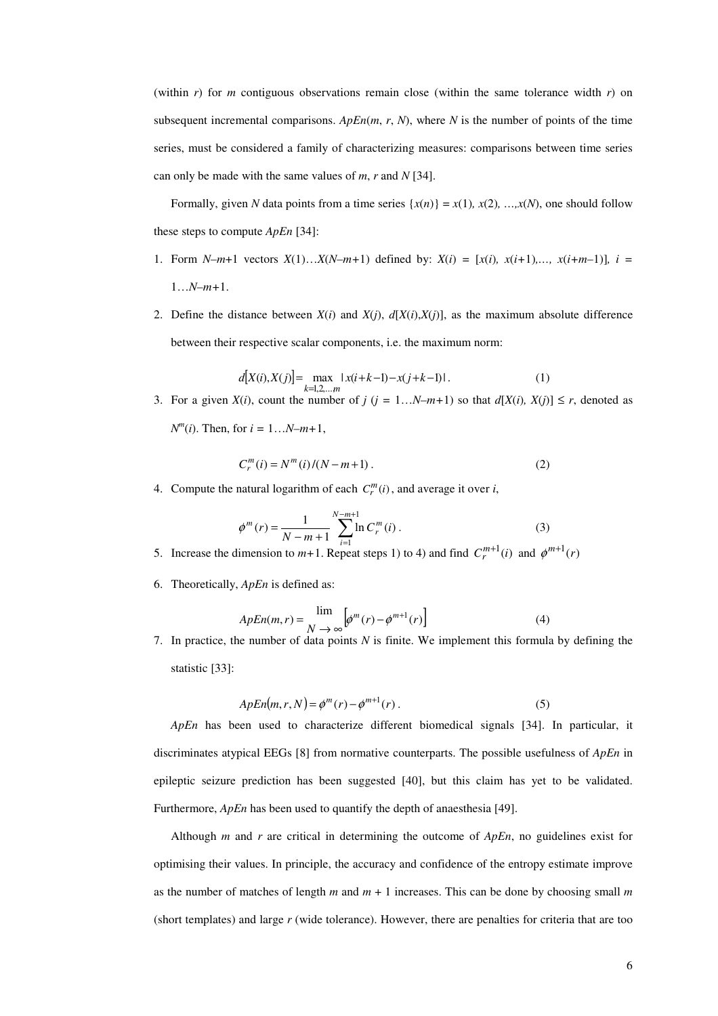(within  $r$ ) for  $m$  contiguous observations remain close (within the same tolerance width  $r$ ) on subsequent incremental comparisons.  $ApEn(m, r, N)$ , where *N* is the number of points of the time series, must be considered a family of characterizing measures: comparisons between time series can only be made with the same values of *m*, *r* and *N* [34].

Formally, given *N* data points from a time series  $\{x(n)\} = x(1), x(2), ..., x(N)$ , one should follow these steps to compute *ApEn* [34]:

- 1. Form  $N-m+1$  vectors  $X(1)...X(N-m+1)$  defined by:  $X(i) = [x(i), x(i+1),..., x(i+m-1)], i =$ 1…*N*–*m+*1.
- 2. Define the distance between  $X(i)$  and  $X(j)$ ,  $d[X(i),X(j)]$ , as the maximum absolute difference between their respective scalar components, i.e. the maximum norm:

$$
d[X(i), X(j)] = \max_{k=1,2,...,m} |x(i+k-1) - x(j+k-1)|.
$$
 (1)

3. For a given  $X(i)$ , count the number of  $j$  ( $j = 1...N-m+1$ ) so that  $d[X(i), X(j)] \leq r$ , denoted as

 $N^{m}(i)$ . Then, for  $i = 1...N-m+1$ ,

$$
C_r^m(i) = N^m(i)/(N - m + 1).
$$
 (2)

4. Compute the natural logarithm of each  $C_r^m(i)$ , and average it over *i*,

$$
\phi^{m}(r) = \frac{1}{N - m + 1} \sum_{i=1}^{N - m + 1} \ln C_{r}^{m}(i)
$$
 (3)

5. Increase the dimension to  $m+1$ . Repeat steps 1) to 4) and find  $C_r^{m+1}(i)$  and  $\phi^{m+1}(r)$ 

6. Theoretically, *ApEn* is defined as:

$$
ApEn(m,r) = \lim_{N \to \infty} \left[ \phi^m(r) - \phi^{m+1}(r) \right]
$$
 (4)

7. In practice, the number of data points *N* is finite. We implement this formula by defining the statistic [33]:

$$
ApEn(m,r,N) = \phi^m(r) - \phi^{m+1}(r).
$$
\n(5)

*ApEn* has been used to characterize different biomedical signals [34]. In particular, it discriminates atypical EEGs [8] from normative counterparts. The possible usefulness of *ApEn* in epileptic seizure prediction has been suggested [40], but this claim has yet to be validated. Furthermore, *ApEn* has been used to quantify the depth of anaesthesia [49].

Although *m* and *r* are critical in determining the outcome of *ApEn*, no guidelines exist for optimising their values. In principle, the accuracy and confidence of the entropy estimate improve as the number of matches of length *m* and *m* + 1 increases. This can be done by choosing small *m* (short templates) and large *r* (wide tolerance). However, there are penalties for criteria that are too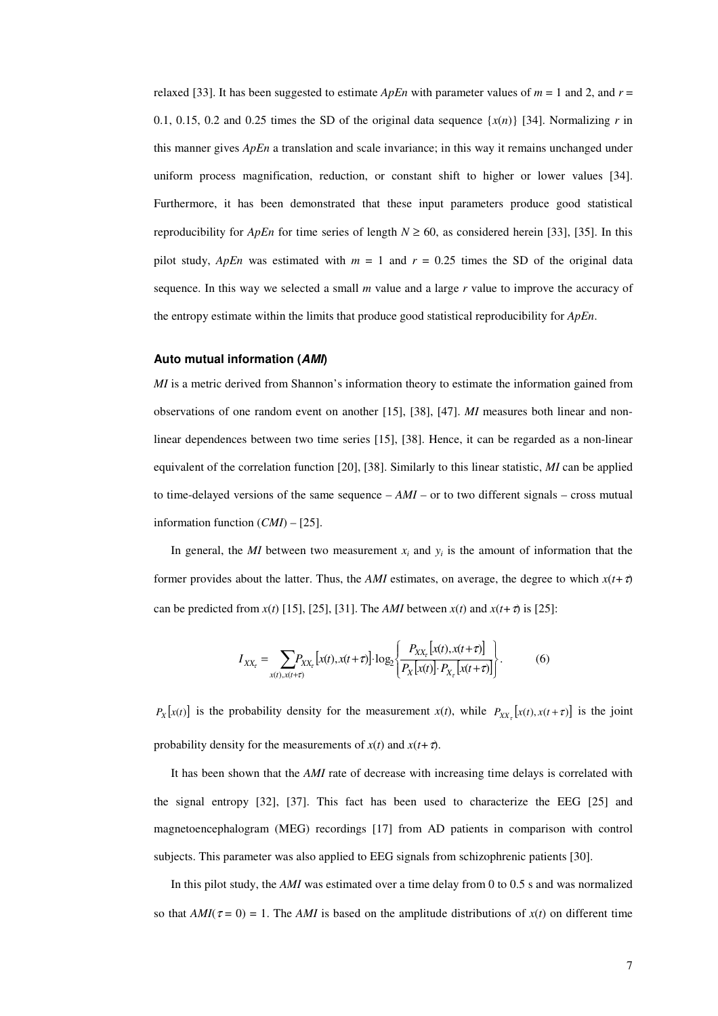relaxed [33]. It has been suggested to estimate  $ApEn$  with parameter values of  $m = 1$  and  $2$ , and  $r =$ 0.1, 0.15, 0.2 and 0.25 times the SD of the original data sequence  $\{x(n)\}\$  [34]. Normalizing *r* in this manner gives *ApEn* a translation and scale invariance; in this way it remains unchanged under uniform process magnification, reduction, or constant shift to higher or lower values [34]. Furthermore, it has been demonstrated that these input parameters produce good statistical reproducibility for *ApEn* for time series of length  $N \ge 60$ , as considered herein [33], [35]. In this pilot study, *ApEn* was estimated with  $m = 1$  and  $r = 0.25$  times the SD of the original data sequence. In this way we selected a small *m* value and a large *r* value to improve the accuracy of the entropy estimate within the limits that produce good statistical reproducibility for *ApEn*.

#### **Auto mutual information (AMI)**

*MI* is a metric derived from Shannon's information theory to estimate the information gained from observations of one random event on another [15], [38], [47]. *MI* measures both linear and nonlinear dependences between two time series [15], [38]. Hence, it can be regarded as a non-linear equivalent of the correlation function [20], [38]. Similarly to this linear statistic, *MI* can be applied to time-delayed versions of the same sequence – *AMI* – or to two different signals – cross mutual information function (*CMI*) – [25].

In general, the *MI* between two measurement  $x_i$  and  $y_i$  is the amount of information that the former provides about the latter. Thus, the *AMI* estimates, on average, the degree to which  $x(t+\tau)$ can be predicted from  $x(t)$  [15], [25], [31]. The *AMI* between  $x(t)$  and  $x(t+\tau)$  is [25]:

$$
I_{XX_{\tau}} = \sum_{x(t), x(t+\tau)} P_{XX_{\tau}} [x(t), x(t+\tau)] \cdot \log_2 \left\{ \frac{P_{XX_{\tau}} [x(t), x(t+\tau)]}{P_X [x(t)] \cdot P_{X_{\tau}} [x(t+\tau)]} \right\}.
$$
 (6)

 $P_X[x(t)]$  is the probability density for the measurement *x*(*t*), while  $P_{XX} [x(t), x(t+\tau)]$  is the joint probability density for the measurements of  $x(t)$  and  $x(t+\tau)$ .

It has been shown that the *AMI* rate of decrease with increasing time delays is correlated with the signal entropy [32], [37]. This fact has been used to characterize the EEG [25] and magnetoencephalogram (MEG) recordings [17] from AD patients in comparison with control subjects. This parameter was also applied to EEG signals from schizophrenic patients [30].

In this pilot study, the *AMI* was estimated over a time delay from 0 to 0.5 s and was normalized so that  $AMI(\tau = 0) = 1$ . The *AMI* is based on the amplitude distributions of  $x(t)$  on different time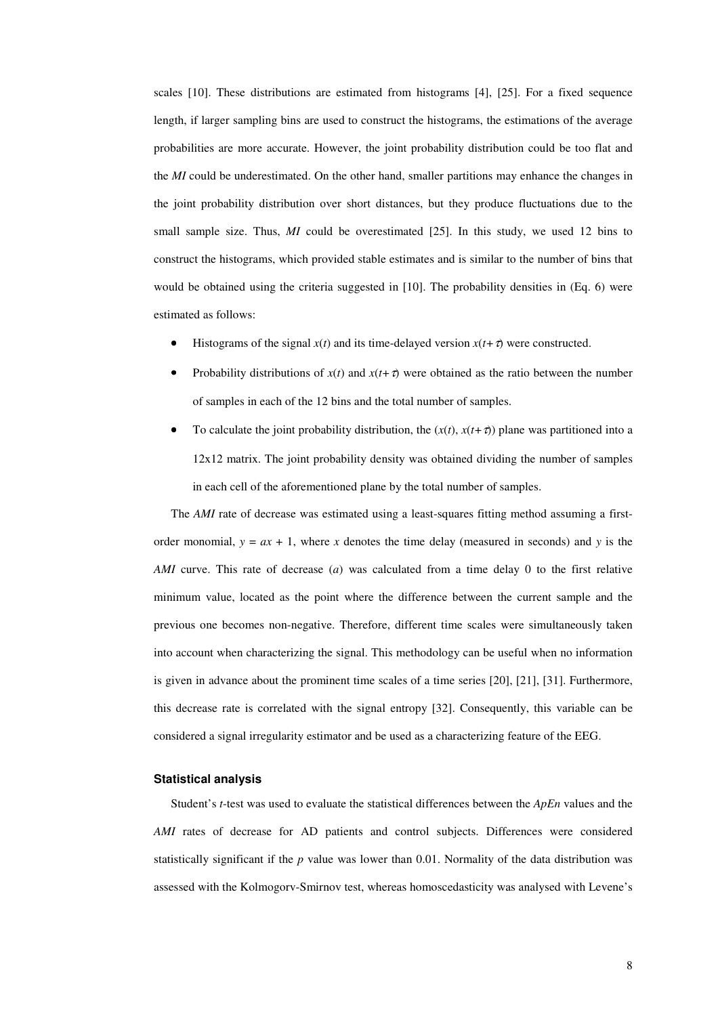scales [10]. These distributions are estimated from histograms [4], [25]. For a fixed sequence length, if larger sampling bins are used to construct the histograms, the estimations of the average probabilities are more accurate. However, the joint probability distribution could be too flat and the *MI* could be underestimated. On the other hand, smaller partitions may enhance the changes in the joint probability distribution over short distances, but they produce fluctuations due to the small sample size. Thus, *MI* could be overestimated [25]. In this study, we used 12 bins to construct the histograms, which provided stable estimates and is similar to the number of bins that would be obtained using the criteria suggested in [10]. The probability densities in (Eq. 6) were estimated as follows:

- Histograms of the signal  $x(t)$  and its time-delayed version  $x(t+\tau)$  were constructed.
- Probability distributions of  $x(t)$  and  $x(t+\tau)$  were obtained as the ratio between the number of samples in each of the 12 bins and the total number of samples.
- To calculate the joint probability distribution, the  $(x(t), x(t+\tau))$  plane was partitioned into a 12x12 matrix. The joint probability density was obtained dividing the number of samples in each cell of the aforementioned plane by the total number of samples.

The *AMI* rate of decrease was estimated using a least-squares fitting method assuming a firstorder monomial,  $y = ax + 1$ , where *x* denotes the time delay (measured in seconds) and *y* is the *AMI* curve. This rate of decrease (*a*) was calculated from a time delay 0 to the first relative minimum value, located as the point where the difference between the current sample and the previous one becomes non-negative. Therefore, different time scales were simultaneously taken into account when characterizing the signal. This methodology can be useful when no information is given in advance about the prominent time scales of a time series [20], [21], [31]. Furthermore, this decrease rate is correlated with the signal entropy [32]. Consequently, this variable can be considered a signal irregularity estimator and be used as a characterizing feature of the EEG.

#### **Statistical analysis**

Student's *t*-test was used to evaluate the statistical differences between the *ApEn* values and the *AMI* rates of decrease for AD patients and control subjects. Differences were considered statistically significant if the *p* value was lower than 0.01. Normality of the data distribution was assessed with the Kolmogorv-Smirnov test, whereas homoscedasticity was analysed with Levene's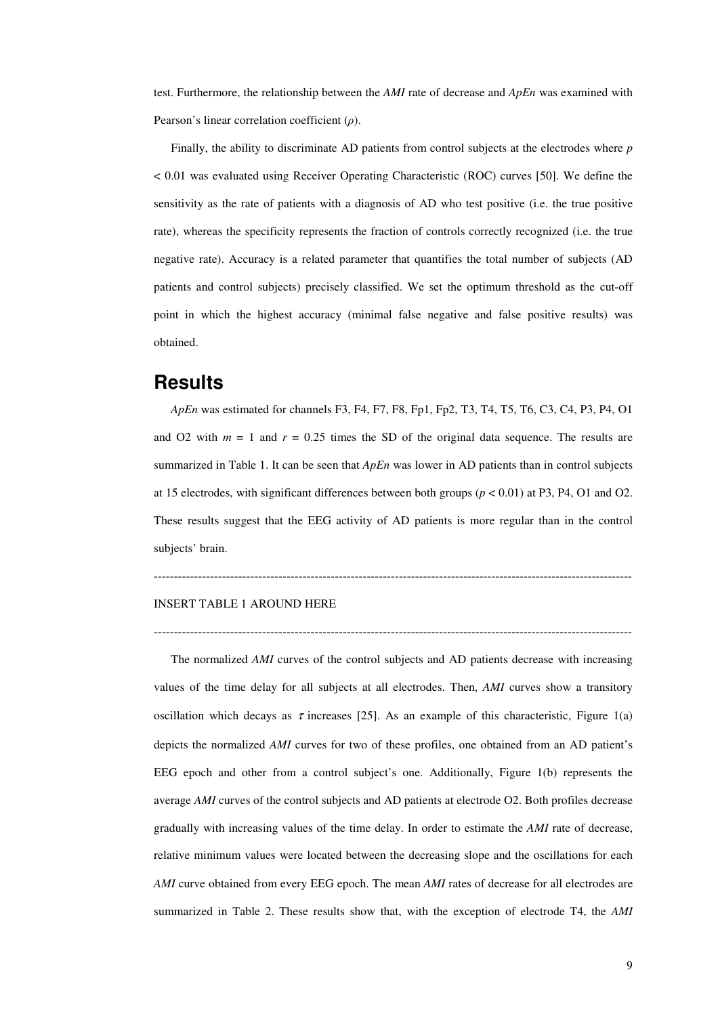test. Furthermore, the relationship between the *AMI* rate of decrease and *ApEn* was examined with Pearson's linear correlation coefficient  $(\rho)$ .

Finally, the ability to discriminate AD patients from control subjects at the electrodes where *p* < 0.01 was evaluated using Receiver Operating Characteristic (ROC) curves [50]. We define the sensitivity as the rate of patients with a diagnosis of AD who test positive (i.e. the true positive rate), whereas the specificity represents the fraction of controls correctly recognized (i.e. the true negative rate). Accuracy is a related parameter that quantifies the total number of subjects (AD patients and control subjects) precisely classified. We set the optimum threshold as the cut-off point in which the highest accuracy (minimal false negative and false positive results) was obtained.

### **Results**

*ApEn* was estimated for channels F3, F4, F7, F8, Fp1, Fp2, T3, T4, T5, T6, C3, C4, P3, P4, O1 and O2 with  $m = 1$  and  $r = 0.25$  times the SD of the original data sequence. The results are summarized in Table 1. It can be seen that *ApEn* was lower in AD patients than in control subjects at 15 electrodes, with significant differences between both groups (*p* < 0.01) at P3, P4, O1 and O2. These results suggest that the EEG activity of AD patients is more regular than in the control subjects' brain.

#### -----------------------------------------------------------------------------------------------------------------------

-----------------------------------------------------------------------------------------------------------------------

#### INSERT TABLE 1 AROUND HERE

The normalized *AMI* curves of the control subjects and AD patients decrease with increasing values of the time delay for all subjects at all electrodes. Then, *AMI* curves show a transitory oscillation which decays as  $\tau$  increases [25]. As an example of this characteristic, Figure 1(a) depicts the normalized *AMI* curves for two of these profiles, one obtained from an AD patient's EEG epoch and other from a control subject's one. Additionally, Figure 1(b) represents the average *AMI* curves of the control subjects and AD patients at electrode O2. Both profiles decrease gradually with increasing values of the time delay. In order to estimate the *AMI* rate of decrease, relative minimum values were located between the decreasing slope and the oscillations for each *AMI* curve obtained from every EEG epoch. The mean *AMI* rates of decrease for all electrodes are summarized in Table 2. These results show that, with the exception of electrode T4, the *AMI*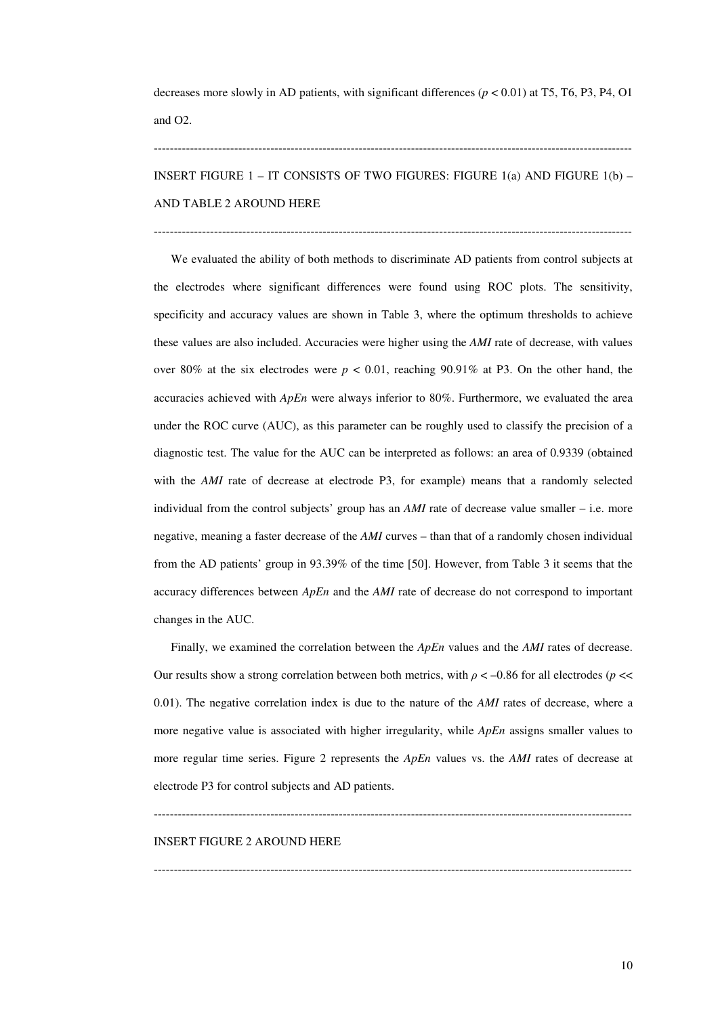decreases more slowly in AD patients, with significant differences (*p* < 0.01) at T5, T6, P3, P4, O1 and O2.

INSERT FIGURE 1 – IT CONSISTS OF TWO FIGURES: FIGURE 1(a) AND FIGURE 1(b) – AND TABLE 2 AROUND HERE

-----------------------------------------------------------------------------------------------------------------------

-----------------------------------------------------------------------------------------------------------------------

We evaluated the ability of both methods to discriminate AD patients from control subjects at the electrodes where significant differences were found using ROC plots. The sensitivity, specificity and accuracy values are shown in Table 3, where the optimum thresholds to achieve these values are also included. Accuracies were higher using the *AMI* rate of decrease, with values over 80% at the six electrodes were  $p < 0.01$ , reaching 90.91% at P3. On the other hand, the accuracies achieved with *ApEn* were always inferior to 80%. Furthermore, we evaluated the area under the ROC curve (AUC), as this parameter can be roughly used to classify the precision of a diagnostic test. The value for the AUC can be interpreted as follows: an area of 0.9339 (obtained with the *AMI* rate of decrease at electrode P3, for example) means that a randomly selected individual from the control subjects' group has an *AMI* rate of decrease value smaller – i.e. more negative, meaning a faster decrease of the *AMI* curves – than that of a randomly chosen individual from the AD patients' group in 93.39% of the time [50]. However, from Table 3 it seems that the accuracy differences between *ApEn* and the *AMI* rate of decrease do not correspond to important changes in the AUC.

Finally, we examined the correlation between the *ApEn* values and the *AMI* rates of decrease. Our results show a strong correlation between both metrics, with  $\rho < -0.86$  for all electrodes ( $p \ll$ 0.01). The negative correlation index is due to the nature of the *AMI* rates of decrease, where a more negative value is associated with higher irregularity, while *ApEn* assigns smaller values to more regular time series. Figure 2 represents the *ApEn* values vs. the *AMI* rates of decrease at electrode P3 for control subjects and AD patients.

-----------------------------------------------------------------------------------------------------------------------

 $-$ 

#### INSERT FIGURE 2 AROUND HERE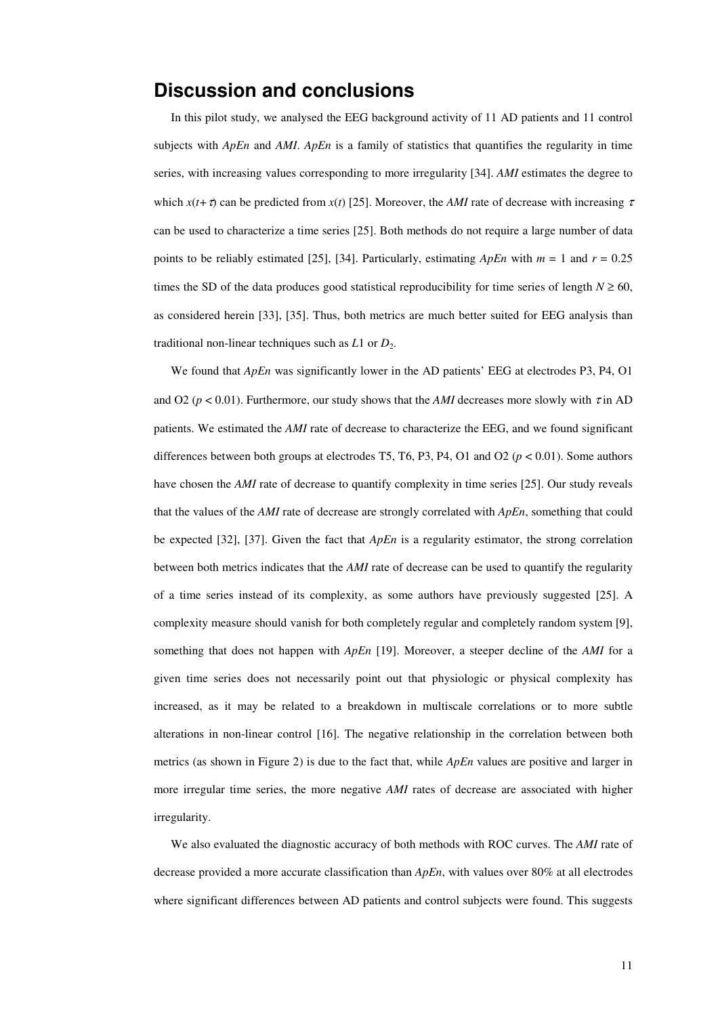## **Discussion and conclusions**

In this pilot study, we analysed the EEG background activity of 11 AD patients and 11 control subjects with *ApEn* and *AMI*. *ApEn* is a family of statistics that quantifies the regularity in time series, with increasing values corresponding to more irregularity [34]. *AMI* estimates the degree to which  $x(t+\tau)$  can be predicted from  $x(t)$  [25]. Moreover, the *AMI* rate of decrease with increasing  $\tau$ can be used to characterize a time series [25]. Both methods do not require a large number of data points to be reliably estimated [25], [34]. Particularly, estimating *ApEn* with *m* = 1 and *r* = 0.25 times the SD of the data produces good statistical reproducibility for time series of length  $N \ge 60$ , as considered herein [33], [35]. Thus, both metrics are much better suited for EEG analysis than traditional non-linear techniques such as  $L1$  or  $D_2$ .

We found that *ApEn* was significantly lower in the AD patients' EEG at electrodes P3, P4, O1 and O2 ( $p < 0.01$ ). Furthermore, our study shows that the *AMI* decreases more slowly with  $\tau$  in AD patients. We estimated the *AMI* rate of decrease to characterize the EEG, and we found significant differences between both groups at electrodes T5, T6, P3, P4, O1 and O2 ( $p < 0.01$ ). Some authors have chosen the *AMI* rate of decrease to quantify complexity in time series [25]. Our study reveals that the values of the *AMI* rate of decrease are strongly correlated with *ApEn*, something that could be expected [32], [37]. Given the fact that *ApEn* is a regularity estimator, the strong correlation between both metrics indicates that the *AMI* rate of decrease can be used to quantify the regularity of a time series instead of its complexity, as some authors have previously suggested [25]. A complexity measure should vanish for both completely regular and completely random system [9], something that does not happen with *ApEn* [19]. Moreover, a steeper decline of the *AMI* for a given time series does not necessarily point out that physiologic or physical complexity has increased, as it may be related to a breakdown in multiscale correlations or to more subtle alterations in non-linear control [16]. The negative relationship in the correlation between both metrics (as shown in Figure 2) is due to the fact that, while *ApEn* values are positive and larger in more irregular time series, the more negative *AMI* rates of decrease are associated with higher irregularity.

We also evaluated the diagnostic accuracy of both methods with ROC curves. The *AMI* rate of decrease provided a more accurate classification than *ApEn*, with values over 80% at all electrodes where significant differences between AD patients and control subjects were found. This suggests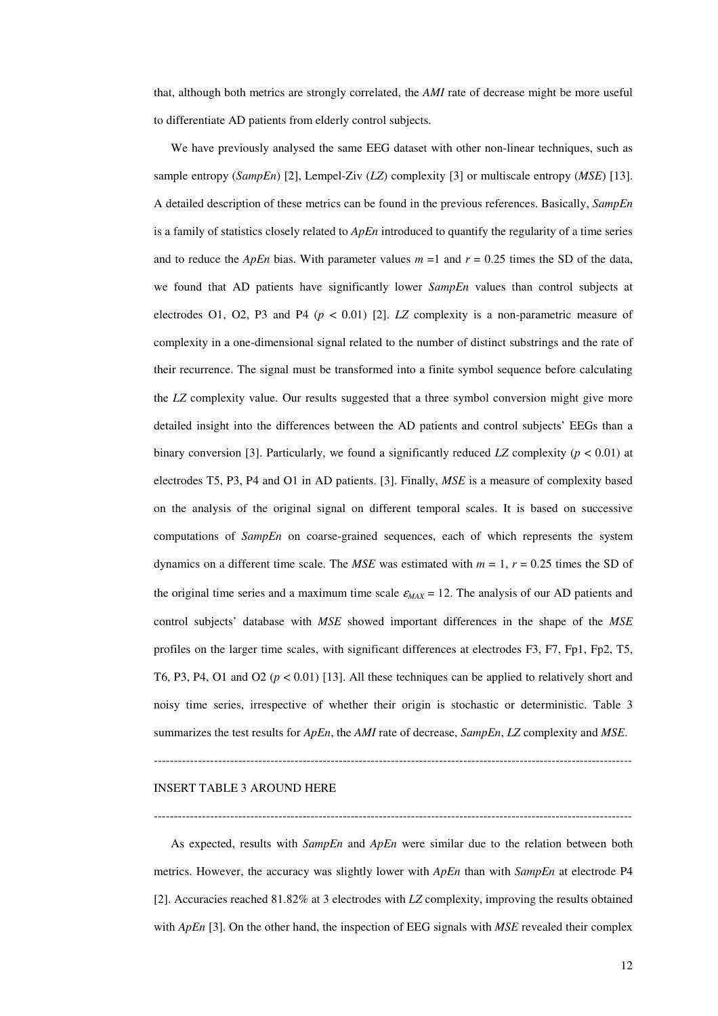that, although both metrics are strongly correlated, the *AMI* rate of decrease might be more useful to differentiate AD patients from elderly control subjects.

We have previously analysed the same EEG dataset with other non-linear techniques, such as sample entropy (*SampEn*) [2], Lempel-Ziv (*LZ*) complexity [3] or multiscale entropy (*MSE*) [13]. A detailed description of these metrics can be found in the previous references. Basically, *SampEn* is a family of statistics closely related to *ApEn* introduced to quantify the regularity of a time series and to reduce the *ApEn* bias. With parameter values  $m = 1$  and  $r = 0.25$  times the SD of the data, we found that AD patients have significantly lower *SampEn* values than control subjects at electrodes O1, O2, P3 and P4 ( $p < 0.01$ ) [2]. *LZ* complexity is a non-parametric measure of complexity in a one-dimensional signal related to the number of distinct substrings and the rate of their recurrence. The signal must be transformed into a finite symbol sequence before calculating the *LZ* complexity value. Our results suggested that a three symbol conversion might give more detailed insight into the differences between the AD patients and control subjects' EEGs than a binary conversion [3]. Particularly, we found a significantly reduced *LZ* complexity ( $p < 0.01$ ) at electrodes T5, P3, P4 and O1 in AD patients. [3]. Finally, *MSE* is a measure of complexity based on the analysis of the original signal on different temporal scales. It is based on successive computations of *SampEn* on coarse-grained sequences, each of which represents the system dynamics on a different time scale. The *MSE* was estimated with  $m = 1$ ,  $r = 0.25$  times the SD of the original time series and a maximum time scale  $\varepsilon_{MAX} = 12$ . The analysis of our AD patients and control subjects' database with *MSE* showed important differences in the shape of the *MSE* profiles on the larger time scales, with significant differences at electrodes F3, F7, Fp1, Fp2, T5, T6, P3, P4, O1 and O2  $(p < 0.01)$  [13]. All these techniques can be applied to relatively short and noisy time series, irrespective of whether their origin is stochastic or deterministic. Table 3 summarizes the test results for *ApEn*, the *AMI* rate of decrease, *SampEn*, *LZ* complexity and *MSE*.

#### -----------------------------------------------------------------------------------------------------------------------

#### INSERT TABLE 3 AROUND HERE

As expected, results with *SampEn* and *ApEn* were similar due to the relation between both metrics. However, the accuracy was slightly lower with *ApEn* than with *SampEn* at electrode P4 [2]. Accuracies reached 81.82% at 3 electrodes with *LZ* complexity, improving the results obtained with *ApEn* [3]. On the other hand, the inspection of EEG signals with *MSE* revealed their complex

-----------------------------------------------------------------------------------------------------------------------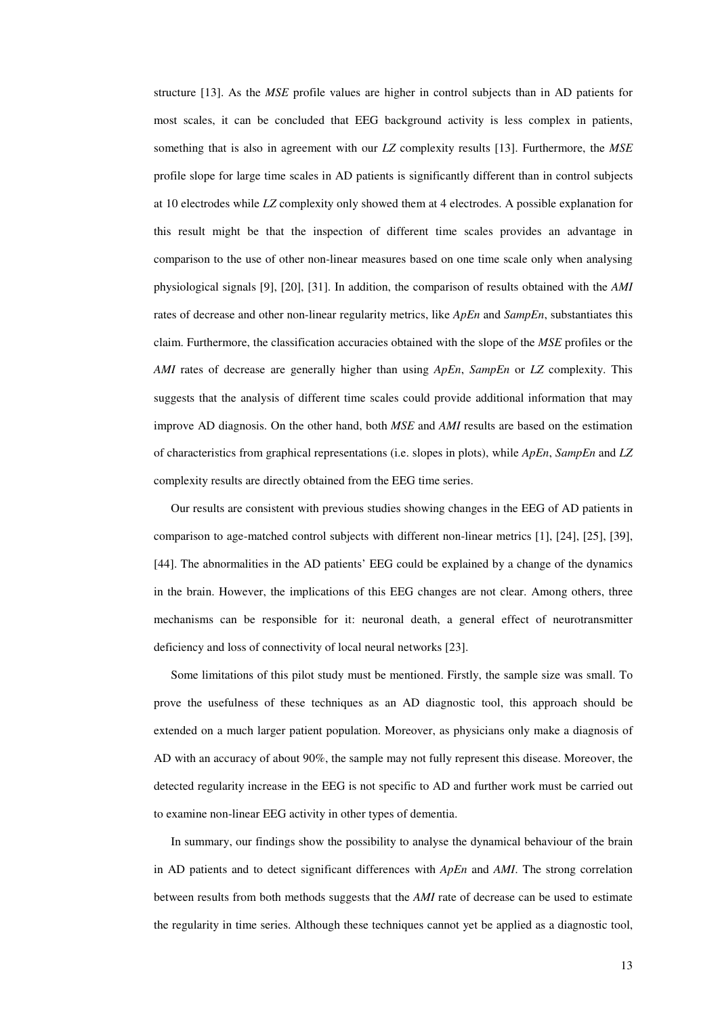structure [13]. As the *MSE* profile values are higher in control subjects than in AD patients for most scales, it can be concluded that EEG background activity is less complex in patients, something that is also in agreement with our *LZ* complexity results [13]. Furthermore, the *MSE* profile slope for large time scales in AD patients is significantly different than in control subjects at 10 electrodes while *LZ* complexity only showed them at 4 electrodes. A possible explanation for this result might be that the inspection of different time scales provides an advantage in comparison to the use of other non-linear measures based on one time scale only when analysing physiological signals [9], [20], [31]. In addition, the comparison of results obtained with the *AMI* rates of decrease and other non-linear regularity metrics, like *ApEn* and *SampEn*, substantiates this claim. Furthermore, the classification accuracies obtained with the slope of the *MSE* profiles or the *AMI* rates of decrease are generally higher than using *ApEn*, *SampEn* or *LZ* complexity. This suggests that the analysis of different time scales could provide additional information that may improve AD diagnosis. On the other hand, both *MSE* and *AMI* results are based on the estimation of characteristics from graphical representations (i.e. slopes in plots), while *ApEn*, *SampEn* and *LZ* complexity results are directly obtained from the EEG time series.

Our results are consistent with previous studies showing changes in the EEG of AD patients in comparison to age-matched control subjects with different non-linear metrics [1], [24], [25], [39], [44]. The abnormalities in the AD patients' EEG could be explained by a change of the dynamics in the brain. However, the implications of this EEG changes are not clear. Among others, three mechanisms can be responsible for it: neuronal death, a general effect of neurotransmitter deficiency and loss of connectivity of local neural networks [23].

Some limitations of this pilot study must be mentioned. Firstly, the sample size was small. To prove the usefulness of these techniques as an AD diagnostic tool, this approach should be extended on a much larger patient population. Moreover, as physicians only make a diagnosis of AD with an accuracy of about 90%, the sample may not fully represent this disease. Moreover, the detected regularity increase in the EEG is not specific to AD and further work must be carried out to examine non-linear EEG activity in other types of dementia.

In summary, our findings show the possibility to analyse the dynamical behaviour of the brain in AD patients and to detect significant differences with *ApEn* and *AMI*. The strong correlation between results from both methods suggests that the *AMI* rate of decrease can be used to estimate the regularity in time series. Although these techniques cannot yet be applied as a diagnostic tool,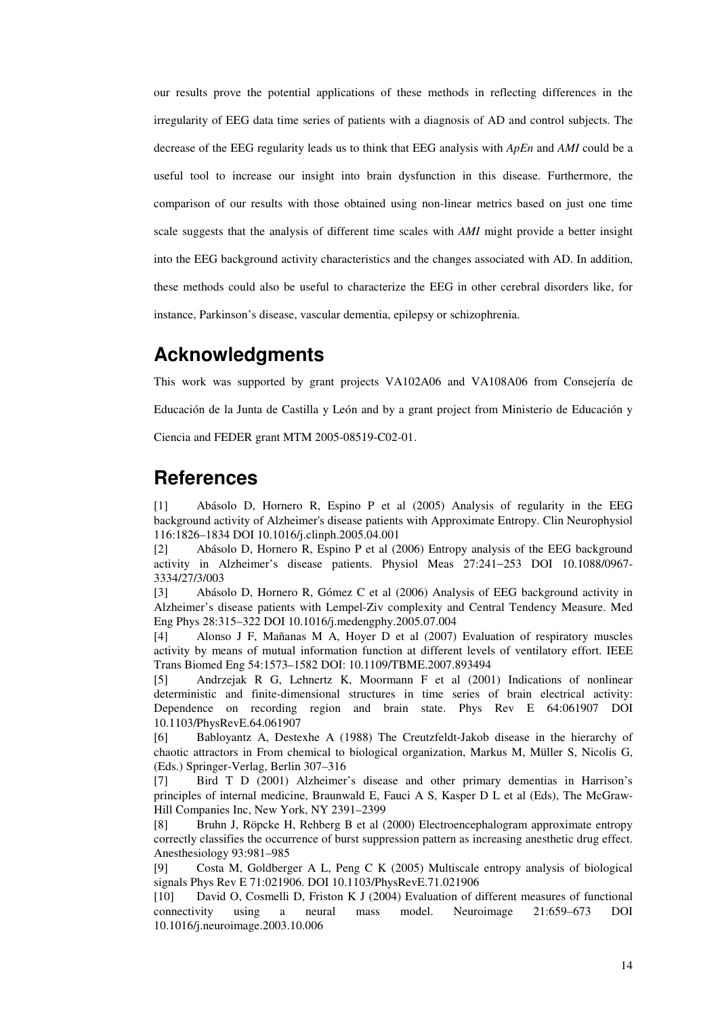our results prove the potential applications of these methods in reflecting differences in the irregularity of EEG data time series of patients with a diagnosis of AD and control subjects. The decrease of the EEG regularity leads us to think that EEG analysis with *ApEn* and *AMI* could be a useful tool to increase our insight into brain dysfunction in this disease. Furthermore, the comparison of our results with those obtained using non-linear metrics based on just one time scale suggests that the analysis of different time scales with *AMI* might provide a better insight into the EEG background activity characteristics and the changes associated with AD. In addition, these methods could also be useful to characterize the EEG in other cerebral disorders like, for instance, Parkinson's disease, vascular dementia, epilepsy or schizophrenia.

# **Acknowledgments**

This work was supported by grant projects VA102A06 and VA108A06 from Consejería de Educación de la Junta de Castilla y León and by a grant project from Ministerio de Educación y Ciencia and FEDER grant MTM 2005-08519-C02-01.

# **References**

[1] Abásolo D, Hornero R, Espino P et al (2005) Analysis of regularity in the EEG background activity of Alzheimer's disease patients with Approximate Entropy. Clin Neurophysiol 116:1826–1834 DOI 10.1016/j.clinph.2005.04.001

[2] Abásolo D, Hornero R, Espino P et al (2006) Entropy analysis of the EEG background activity in Alzheimer's disease patients. Physiol Meas 27:241−253 DOI 10.1088/0967- 3334/27/3/003

[3] Abásolo D, Hornero R, Gómez C et al (2006) Analysis of EEG background activity in Alzheimer's disease patients with Lempel-Ziv complexity and Central Tendency Measure. Med Eng Phys 28:315–322 DOI 10.1016/j.medengphy.2005.07.004

[4] Alonso J F, Mañanas M A, Hoyer D et al (2007) Evaluation of respiratory muscles activity by means of mutual information function at different levels of ventilatory effort. IEEE Trans Biomed Eng 54:1573–1582 DOI: 10.1109/TBME.2007.893494

[5] Andrzejak R G, Lehnertz K, Moormann F et al (2001) Indications of nonlinear deterministic and finite-dimensional structures in time series of brain electrical activity: Dependence on recording region and brain state. Phys Rev E 64:061907 DOI 10.1103/PhysRevE.64.061907

[6] Babloyantz A, Destexhe A (1988) The Creutzfeldt-Jakob disease in the hierarchy of chaotic attractors in From chemical to biological organization, Markus M, Müller S, Nicolis G, (Eds.) Springer-Verlag, Berlin 307–316

[7] Bird T D (2001) Alzheimer's disease and other primary dementias in Harrison's principles of internal medicine, Braunwald E, Fauci A S, Kasper D L et al (Eds), The McGraw-Hill Companies Inc, New York, NY 2391–2399

[8] Bruhn J, Röpcke H, Rehberg B et al (2000) Electroencephalogram approximate entropy correctly classifies the occurrence of burst suppression pattern as increasing anesthetic drug effect. Anesthesiology 93:981–985

[9] Costa M, Goldberger A L, Peng C K (2005) Multiscale entropy analysis of biological signals Phys Rev E 71:021906. DOI 10.1103/PhysRevE.71.021906

[10] David O, Cosmelli D, Friston K J (2004) Evaluation of different measures of functional connectivity using a neural mass model. Neuroimage 21:659–673 DOI 10.1016/j.neuroimage.2003.10.006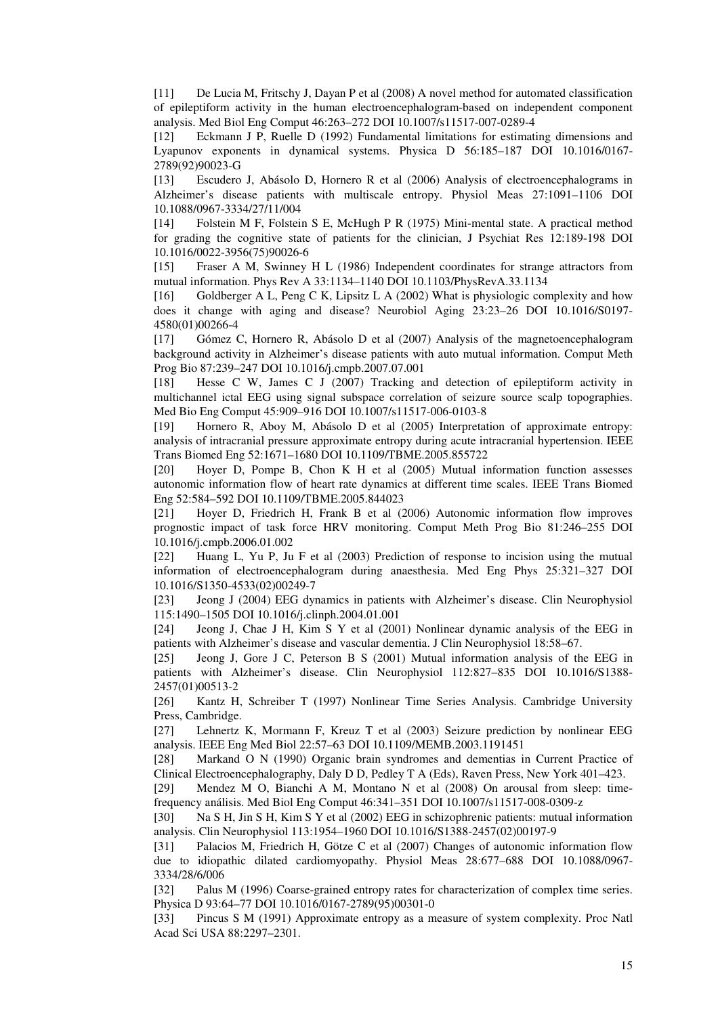[11] De Lucia M, Fritschy J, Dayan P et al (2008) A novel method for automated classification of epileptiform activity in the human electroencephalogram-based on independent component analysis. Med Biol Eng Comput 46:263–272 DOI 10.1007/s11517-007-0289-4

[12] Eckmann J P, Ruelle D (1992) Fundamental limitations for estimating dimensions and Lyapunov exponents in dynamical systems. Physica D 56:185–187 DOI 10.1016/0167- 2789(92)90023-G

[13] Escudero J, Abásolo D, Hornero R et al (2006) Analysis of electroencephalograms in Alzheimer's disease patients with multiscale entropy. Physiol Meas 27:1091–1106 DOI 10.1088/0967-3334/27/11/004

[14] Folstein M F, Folstein S E, McHugh P R (1975) Mini-mental state. A practical method for grading the cognitive state of patients for the clinician, J Psychiat Res 12:189-198 DOI 10.1016/0022-3956(75)90026-6

[15] Fraser A M, Swinney H L (1986) Independent coordinates for strange attractors from mutual information. Phys Rev A 33:1134–1140 DOI 10.1103/PhysRevA.33.1134

[16] Goldberger A L, Peng C K, Lipsitz L A (2002) What is physiologic complexity and how does it change with aging and disease? Neurobiol Aging 23:23–26 DOI 10.1016/S0197- 4580(01)00266-4

[17] Gómez C, Hornero R, Abásolo D et al (2007) Analysis of the magnetoencephalogram background activity in Alzheimer's disease patients with auto mutual information. Comput Meth Prog Bio 87:239–247 DOI 10.1016/j.cmpb.2007.07.001

[18] Hesse C W, James C J (2007) Tracking and detection of epileptiform activity in multichannel ictal EEG using signal subspace correlation of seizure source scalp topographies. Med Bio Eng Comput 45:909–916 DOI 10.1007/s11517-006-0103-8

[19] Hornero R, Aboy M, Abásolo D et al (2005) Interpretation of approximate entropy: analysis of intracranial pressure approximate entropy during acute intracranial hypertension. IEEE Trans Biomed Eng 52:1671–1680 DOI 10.1109/TBME.2005.855722

[20] Hoyer D, Pompe B, Chon K H et al (2005) Mutual information function assesses autonomic information flow of heart rate dynamics at different time scales. IEEE Trans Biomed Eng 52:584–592 DOI 10.1109/TBME.2005.844023

[21] Hoyer D, Friedrich H, Frank B et al (2006) Autonomic information flow improves prognostic impact of task force HRV monitoring. Comput Meth Prog Bio 81:246–255 DOI 10.1016/j.cmpb.2006.01.002

[22] Huang L, Yu P, Ju F et al (2003) Prediction of response to incision using the mutual information of electroencephalogram during anaesthesia. Med Eng Phys 25:321–327 DOI 10.1016/S1350-4533(02)00249-7

[23] Jeong J (2004) EEG dynamics in patients with Alzheimer's disease. Clin Neurophysiol 115:1490–1505 DOI 10.1016/j.clinph.2004.01.001

[24] Jeong J, Chae J H, Kim S Y et al (2001) Nonlinear dynamic analysis of the EEG in patients with Alzheimer's disease and vascular dementia. J Clin Neurophysiol 18:58–67.

[25] Jeong J, Gore J C, Peterson B S (2001) Mutual information analysis of the EEG in patients with Alzheimer's disease. Clin Neurophysiol 112:827–835 DOI 10.1016/S1388- 2457(01)00513-2

[26] Kantz H, Schreiber T (1997) Nonlinear Time Series Analysis. Cambridge University Press, Cambridge.

[27] Lehnertz K, Mormann F, Kreuz T et al (2003) Seizure prediction by nonlinear EEG analysis. IEEE Eng Med Biol 22:57–63 DOI 10.1109/MEMB.2003.1191451

[28] Markand O N (1990) Organic brain syndromes and dementias in Current Practice of Clinical Electroencephalography, Daly D D, Pedley T A (Eds), Raven Press, New York 401–423.

[29] Mendez M O, Bianchi A M, Montano N et al (2008) On arousal from sleep: timefrequency análisis. Med Biol Eng Comput 46:341–351 DOI 10.1007/s11517-008-0309-z

[30] Na S H, Jin S H, Kim S Y et al (2002) EEG in schizophrenic patients: mutual information analysis. Clin Neurophysiol 113:1954–1960 DOI 10.1016/S1388-2457(02)00197-9

[31] Palacios M, Friedrich H, Götze C et al (2007) Changes of autonomic information flow due to idiopathic dilated cardiomyopathy. Physiol Meas 28:677–688 DOI 10.1088/0967- 3334/28/6/006

[32] Palus M (1996) Coarse-grained entropy rates for characterization of complex time series. Physica D 93:64–77 DOI 10.1016/0167-2789(95)00301-0

[33] Pincus S M (1991) Approximate entropy as a measure of system complexity. Proc Natl Acad Sci USA 88:2297–2301.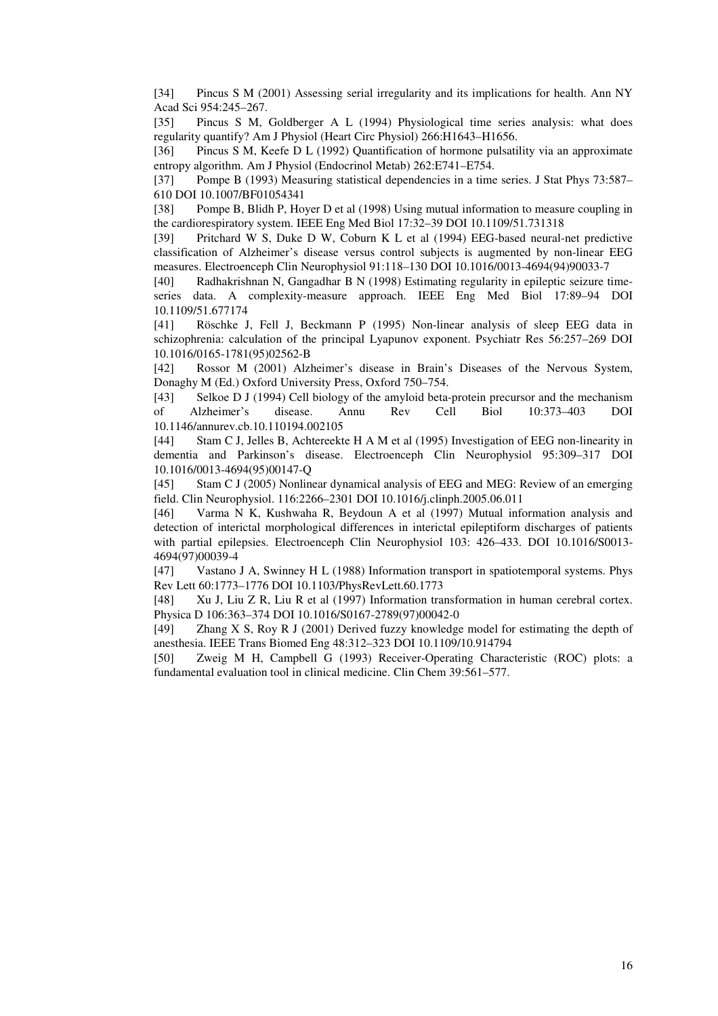[34] Pincus S M (2001) Assessing serial irregularity and its implications for health. Ann NY Acad Sci 954:245–267.

[35] Pincus S M, Goldberger A L (1994) Physiological time series analysis: what does regularity quantify? Am J Physiol (Heart Circ Physiol) 266:H1643–H1656.

[36] Pincus S M, Keefe D L (1992) Quantification of hormone pulsatility via an approximate entropy algorithm. Am J Physiol (Endocrinol Metab) 262:E741–E754.

[37] Pompe B (1993) Measuring statistical dependencies in a time series. J Stat Phys 73:587– 610 DOI 10.1007/BF01054341

[38] Pompe B, Blidh P, Hoyer D et al (1998) Using mutual information to measure coupling in the cardiorespiratory system. IEEE Eng Med Biol 17:32–39 DOI 10.1109/51.731318

[39] Pritchard W S, Duke D W, Coburn K L et al (1994) EEG-based neural-net predictive classification of Alzheimer's disease versus control subjects is augmented by non-linear EEG measures. Electroenceph Clin Neurophysiol 91:118–130 DOI 10.1016/0013-4694(94)90033-7

[40] Radhakrishnan N, Gangadhar B N (1998) Estimating regularity in epileptic seizure timeseries data. A complexity-measure approach. IEEE Eng Med Biol 17:89–94 DOI 10.1109/51.677174

[41] Röschke J, Fell J, Beckmann P (1995) Non-linear analysis of sleep EEG data in schizophrenia: calculation of the principal Lyapunov exponent. Psychiatr Res 56:257–269 DOI 10.1016/0165-1781(95)02562-B

[42] Rossor M (2001) Alzheimer's disease in Brain's Diseases of the Nervous System, Donaghy M (Ed.) Oxford University Press, Oxford 750–754.

[43] Selkoe D J (1994) Cell biology of the amyloid beta-protein precursor and the mechanism of Alzheimer's disease. Annu Rev Cell Biol 10:373–403 DOI 10.1146/annurev.cb.10.110194.002105

[44] Stam C J, Jelles B, Achtereekte H A M et al (1995) Investigation of EEG non-linearity in dementia and Parkinson's disease. Electroenceph Clin Neurophysiol 95:309–317 DOI 10.1016/0013-4694(95)00147-Q

[45] Stam C J (2005) Nonlinear dynamical analysis of EEG and MEG: Review of an emerging field. Clin Neurophysiol. 116:2266–2301 DOI 10.1016/j.clinph.2005.06.011

[46] Varma N K, Kushwaha R, Beydoun A et al (1997) Mutual information analysis and detection of interictal morphological differences in interictal epileptiform discharges of patients with partial epilepsies. Electroenceph Clin Neurophysiol 103: 426–433. DOI 10.1016/S0013- 4694(97)00039-4

[47] Vastano J A, Swinney H L (1988) Information transport in spatiotemporal systems. Phys Rev Lett 60:1773–1776 DOI 10.1103/PhysRevLett.60.1773

[48] Xu J, Liu Z R, Liu R et al (1997) Information transformation in human cerebral cortex. Physica D 106:363–374 DOI 10.1016/S0167-2789(97)00042-0

[49] Zhang X S, Roy R J (2001) Derived fuzzy knowledge model for estimating the depth of anesthesia. IEEE Trans Biomed Eng 48:312–323 DOI 10.1109/10.914794

[50] Zweig M H, Campbell G (1993) Receiver-Operating Characteristic (ROC) plots: a fundamental evaluation tool in clinical medicine. Clin Chem 39:561–577.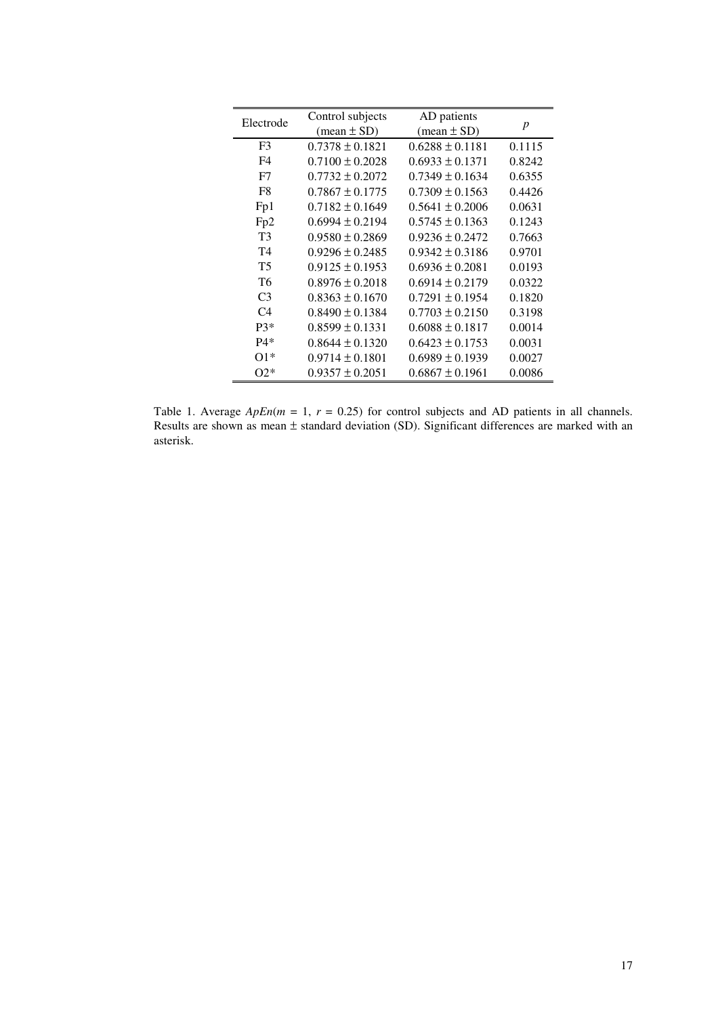| Electrode       | Control subjects              | AD patients                   |                  |
|-----------------|-------------------------------|-------------------------------|------------------|
|                 | $(\text{mean} \pm \text{SD})$ | $(\text{mean} \pm \text{SD})$ | $\boldsymbol{p}$ |
| F <sub>3</sub>  | $0.7378 \pm 0.1821$           | $0.6288 \pm 0.1181$           | 0.1115           |
| F4              | $0.7100 \pm 0.2028$           | $0.6933 \pm 0.1371$           | 0.8242           |
| F7              | $0.7732 \pm 0.2072$           | $0.7349 \pm 0.1634$           | 0.6355           |
| F8              | $0.7867 \pm 0.1775$           | $0.7309 \pm 0.1563$           | 0.4426           |
| Fp1             | $0.7182 \pm 0.1649$           | $0.5641 \pm 0.2006$           | 0.0631           |
| Fp <sub>2</sub> | $0.6994 \pm 0.2194$           | $0.5745 \pm 0.1363$           | 0.1243           |
| T <sub>3</sub>  | $0.9580 \pm 0.2869$           | $0.9236 \pm 0.2472$           | 0.7663           |
| T <sub>4</sub>  | $0.9296 \pm 0.2485$           | $0.9342 \pm 0.3186$           | 0.9701           |
| <b>T5</b>       | $0.9125 \pm 0.1953$           | $0.6936 \pm 0.2081$           | 0.0193           |
| T <sub>6</sub>  | $0.8976 \pm 0.2018$           | $0.6914 \pm 0.2179$           | 0.0322           |
| C <sub>3</sub>  | $0.8363 \pm 0.1670$           | $0.7291 \pm 0.1954$           | 0.1820           |
| C <sub>4</sub>  | $0.8490 \pm 0.1384$           | $0.7703 \pm 0.2150$           | 0.3198           |
| $P3*$           | $0.8599 \pm 0.1331$           | $0.6088 \pm 0.1817$           | 0.0014           |
| $P4*$           | $0.8644 \pm 0.1320$           | $0.6423 \pm 0.1753$           | 0.0031           |
| $O1*$           | $0.9714 \pm 0.1801$           | $0.6989 \pm 0.1939$           | 0.0027           |
| $O2*$           | $0.9357 \pm 0.2051$           | $0.6867 \pm 0.1961$           | 0.0086           |

Table 1. Average  $ApEn(m = 1, r = 0.25)$  for control subjects and AD patients in all channels. Results are shown as mean  $\pm$  standard deviation (SD). Significant differences are marked with an asterisk.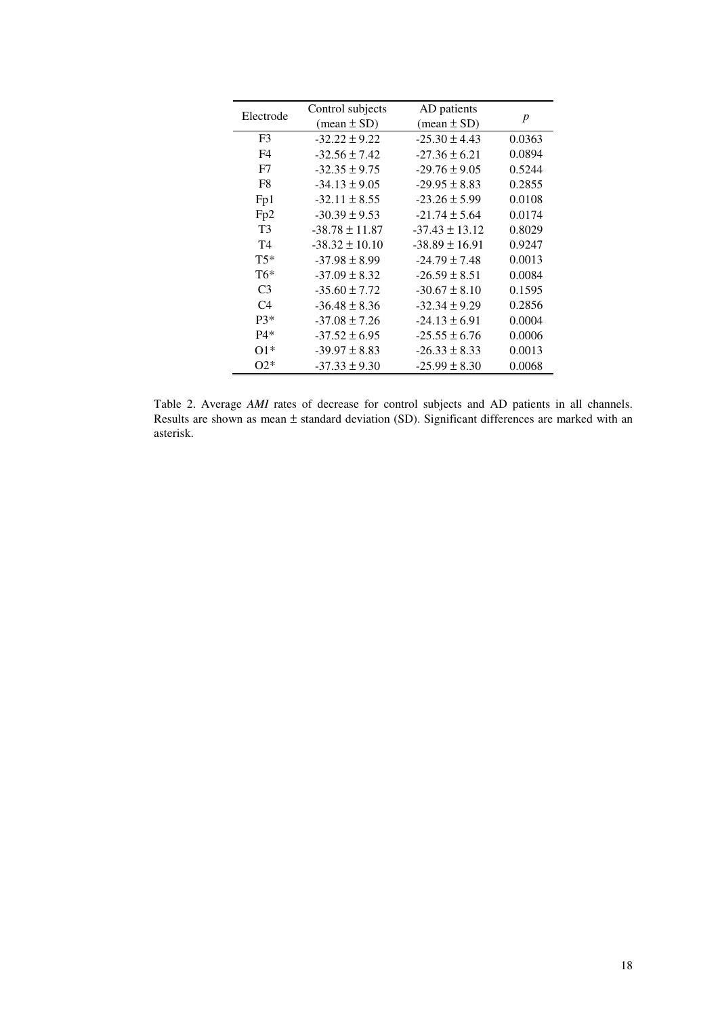| Electrode      | Control subjects              | AD patients                   |                  |
|----------------|-------------------------------|-------------------------------|------------------|
|                | $(\text{mean} \pm \text{SD})$ | $(\text{mean} \pm \text{SD})$ | $\boldsymbol{p}$ |
| F3             | $-32.22 \pm 9.22$             | $-25.30 \pm 4.43$             | 0.0363           |
| F4             | $-32.56 \pm 7.42$             | $-27.36 \pm 6.21$             | 0.0894           |
| F7             | $-32.35 \pm 9.75$             | $-29.76 \pm 9.05$             | 0.5244           |
| F8             | $-34.13 \pm 9.05$             | $-29.95 \pm 8.83$             | 0.2855           |
| Fp1            | $-32.11 \pm 8.55$             | $-23.26 \pm 5.99$             | 0.0108           |
| Fp2            | $-30.39 \pm 9.53$             | $-21.74 \pm 5.64$             | 0.0174           |
| T <sub>3</sub> | $-38.78 \pm 11.87$            | $-37.43 \pm 13.12$            | 0.8029           |
| T <sub>4</sub> | $-38.32 \pm 10.10$            | $-38.89 \pm 16.91$            | 0.9247           |
| $T5*$          | $-37.98 \pm 8.99$             | $-24.79 \pm 7.48$             | 0.0013           |
| $T6*$          | $-37.09 \pm 8.32$             | $-26.59 \pm 8.51$             | 0.0084           |
| C <sub>3</sub> | $-35.60 \pm 7.72$             | $-30.67 \pm 8.10$             | 0.1595           |
| C4             | $-36.48 \pm 8.36$             | $-32.34 \pm 9.29$             | 0.2856           |
| $P3*$          | $-37.08 \pm 7.26$             | $-24.13 \pm 6.91$             | 0.0004           |
| $P4*$          | $-37.52 \pm 6.95$             | $-25.55 \pm 6.76$             | 0.0006           |
| $O1*$          | $-39.97 \pm 8.83$             | $-26.33 \pm 8.33$             | 0.0013           |
| $O2*$          | $-37.33 \pm 9.30$             | $-25.99 \pm 8.30$             | 0.0068           |

Table 2. Average *AMI* rates of decrease for control subjects and AD patients in all channels. Results are shown as mean ± standard deviation (SD). Significant differences are marked with an asterisk.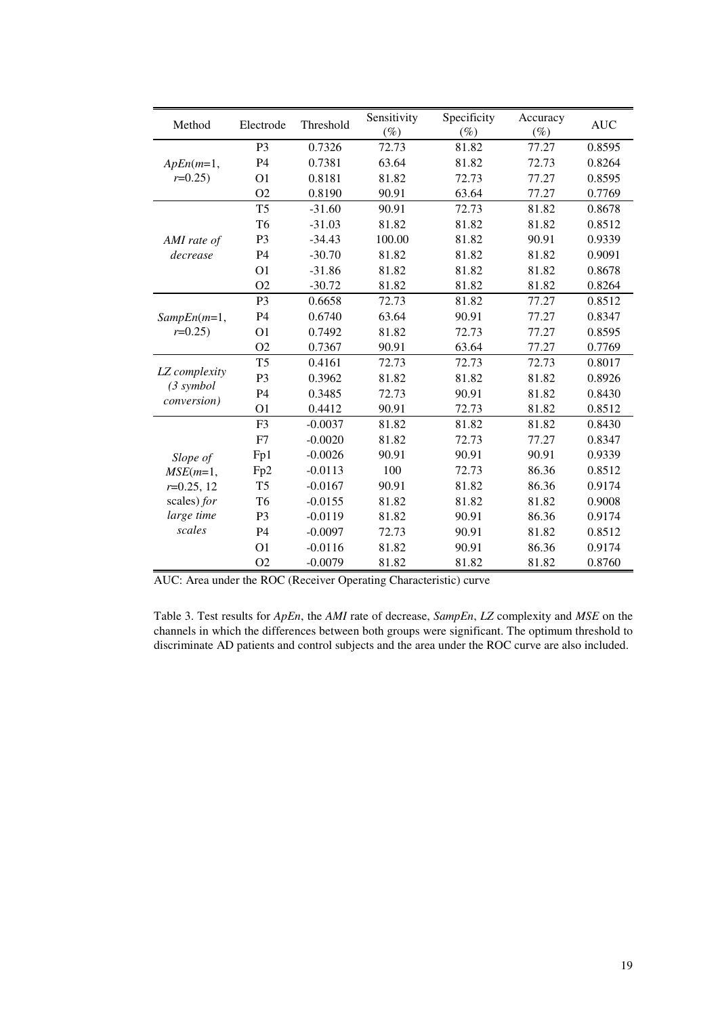| Method                                            | Electrode      | Threshold | Sensitivity<br>$(\%)$ | Specificity<br>$(\%)$ | Accuracy<br>$(\%)$ | <b>AUC</b> |
|---------------------------------------------------|----------------|-----------|-----------------------|-----------------------|--------------------|------------|
| $ApEn(m=1,$<br>$r=0.25$ )                         | P <sub>3</sub> | 0.7326    | 72.73                 | 81.82                 | 77.27              | 0.8595     |
|                                                   | P <sub>4</sub> | 0.7381    | 63.64                 | 81.82                 | 72.73              | 0.8264     |
|                                                   | O <sub>1</sub> | 0.8181    | 81.82                 | 72.73                 | 77.27              | 0.8595     |
|                                                   | O <sub>2</sub> | 0.8190    | 90.91                 | 63.64                 | 77.27              | 0.7769     |
| AMI rate of<br>decrease                           | T <sub>5</sub> | $-31.60$  | 90.91                 | 72.73                 | 81.82              | 0.8678     |
|                                                   | T <sub>6</sub> | $-31.03$  | 81.82                 | 81.82                 | 81.82              | 0.8512     |
|                                                   | P <sub>3</sub> | $-34.43$  | 100.00                | 81.82                 | 90.91              | 0.9339     |
|                                                   | P <sub>4</sub> | $-30.70$  | 81.82                 | 81.82                 | 81.82              | 0.9091     |
|                                                   | O <sub>1</sub> | $-31.86$  | 81.82                 | 81.82                 | 81.82              | 0.8678     |
|                                                   | O <sub>2</sub> | $-30.72$  | 81.82                 | 81.82                 | 81.82              | 0.8264     |
| $SampEn(m=1,$                                     | P <sub>3</sub> | 0.6658    | 72.73                 | 81.82                 | 77.27              | 0.8512     |
|                                                   | P <sub>4</sub> | 0.6740    | 63.64                 | 90.91                 | 77.27              | 0.8347     |
| $r=0.25$ )                                        | O <sub>1</sub> | 0.7492    | 81.82                 | 72.73                 | 77.27              | 0.8595     |
|                                                   | O <sub>2</sub> | 0.7367    | 90.91                 | 63.64                 | 77.27              | 0.7769     |
|                                                   | T <sub>5</sub> | 0.4161    | 72.73                 | 72.73                 | 72.73              | 0.8017     |
| LZ complexity<br>(3 symbol<br><i>conversion</i> ) | P <sub>3</sub> | 0.3962    | 81.82                 | 81.82                 | 81.82              | 0.8926     |
|                                                   | <b>P4</b>      | 0.3485    | 72.73                 | 90.91                 | 81.82              | 0.8430     |
|                                                   | O <sub>1</sub> | 0.4412    | 90.91                 | 72.73                 | 81.82              | 0.8512     |
| Slope of                                          | F <sub>3</sub> | $-0.0037$ | 81.82                 | 81.82                 | 81.82              | 0.8430     |
|                                                   | F7             | $-0.0020$ | 81.82                 | 72.73                 | 77.27              | 0.8347     |
|                                                   | Fp1            | $-0.0026$ | 90.91                 | 90.91                 | 90.91              | 0.9339     |
| $MSE(m=1,$                                        | Fp2            | $-0.0113$ | 100                   | 72.73                 | 86.36              | 0.8512     |
| $r=0.25, 12$                                      | T <sub>5</sub> | $-0.0167$ | 90.91                 | 81.82                 | 86.36              | 0.9174     |
| scales) for                                       | T <sub>6</sub> | $-0.0155$ | 81.82                 | 81.82                 | 81.82              | 0.9008     |
| large time                                        | P <sub>3</sub> | $-0.0119$ | 81.82                 | 90.91                 | 86.36              | 0.9174     |
| scales                                            | <b>P4</b>      | $-0.0097$ | 72.73                 | 90.91                 | 81.82              | 0.8512     |
|                                                   | O <sub>1</sub> | $-0.0116$ | 81.82                 | 90.91                 | 86.36              | 0.9174     |
|                                                   | O <sub>2</sub> | $-0.0079$ | 81.82                 | 81.82                 | 81.82              | 0.8760     |

AUC: Area under the ROC (Receiver Operating Characteristic) curve

Table 3. Test results for *ApEn*, the *AMI* rate of decrease, *SampEn*, *LZ* complexity and *MSE* on the channels in which the differences between both groups were significant. The optimum threshold to discriminate AD patients and control subjects and the area under the ROC curve are also included.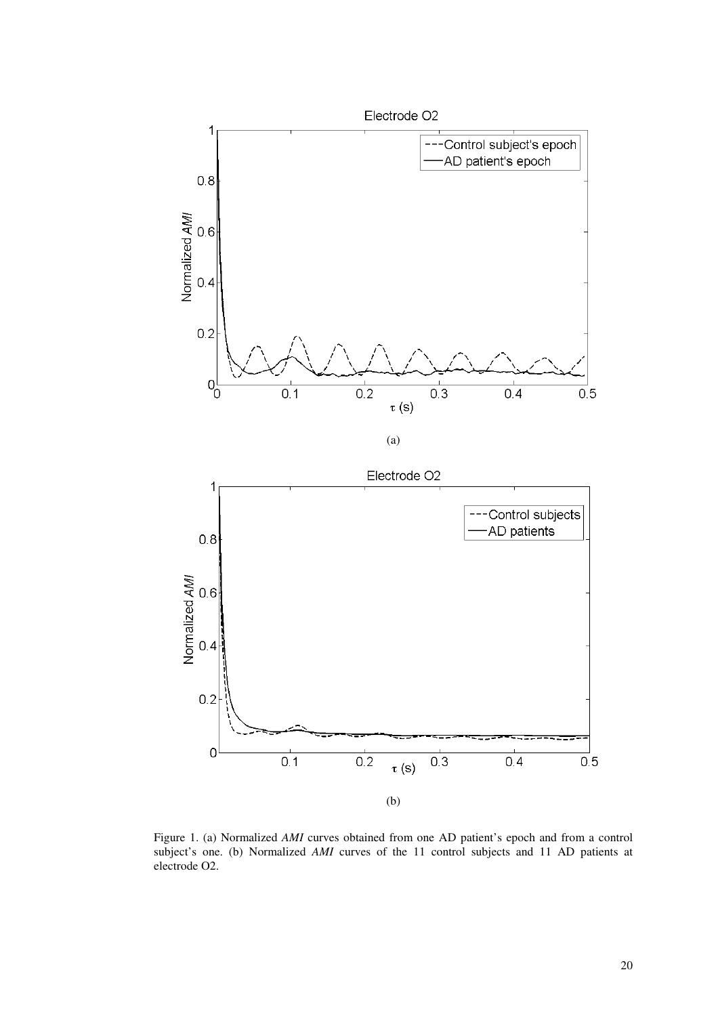

Figure 1. (a) Normalized *AMI* curves obtained from one AD patient's epoch and from a control subject's one. (b) Normalized *AMI* curves of the 11 control subjects and 11 AD patients at electrode O2.